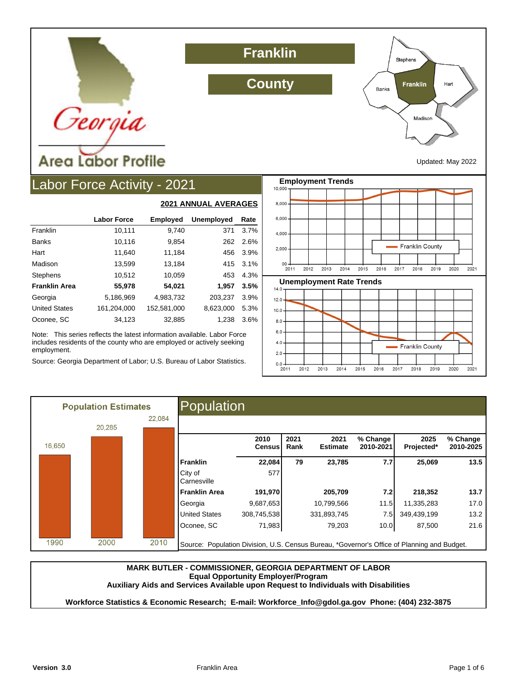

**Franklin**

**County**



Updated: May 2022

## Labor Force Activity - 2021

|                      |                    |                 | ZUZ I ANNUAL AVLINAGLU |      |
|----------------------|--------------------|-----------------|------------------------|------|
|                      | <b>Labor Force</b> | <b>Employed</b> | <b>Unemployed</b>      | Rate |
| Franklin             | 10,111             | 9,740           | 371                    | 3.7% |
| <b>Banks</b>         | 10,116             | 9,854           | 262                    | 2.6% |
| Hart                 | 11,640             | 11,184          | 456                    | 3.9% |
| Madison              | 13,599             | 13,184          | 415                    | 3.1% |
| <b>Stephens</b>      | 10,512             | 10,059          | 453                    | 4.3% |
| <b>Franklin Area</b> | 55,978             | 54,021          | 1.957                  | 3.5% |
| Georgia              | 5,186,969          | 4.983.732       | 203,237                | 3.9% |
| <b>United States</b> | 161.204.000        | 152.581.000     | 8.623.000              | 5.3% |
| Oconee, SC           | 34.123             | 32.885          | 1.238                  | 3.6% |

**2021 ANNUAL AVERAGES**

Note: This series reflects the latest information available. Labor Force includes residents of the county who are employed or actively seeking employment.

Source: Georgia Department of Labor; U.S. Bureau of Labor Statistics.



|        | <b>Population Estimates</b> |        | Population                                                                                  |                |              |                         |                       |                    |                       |
|--------|-----------------------------|--------|---------------------------------------------------------------------------------------------|----------------|--------------|-------------------------|-----------------------|--------------------|-----------------------|
|        | 20,285                      | 22,084 |                                                                                             |                |              |                         |                       |                    |                       |
| 16,650 |                             |        |                                                                                             | 2010<br>Census | 2021<br>Rank | 2021<br><b>Estimate</b> | % Change<br>2010-2021 | 2025<br>Projected* | % Change<br>2010-2025 |
|        |                             |        | Franklin                                                                                    | 22,084         | 79           | 23,785                  | 7.7                   | 25,069             | 13.5                  |
|        |                             |        | City of<br>Carnesville                                                                      | 577            |              |                         |                       |                    |                       |
|        |                             |        | Franklin Area                                                                               | 191,970        |              | 205,709                 | 7.2                   | 218,352            | 13.7                  |
|        |                             |        | Georgia                                                                                     | 9,687,653      |              | 10,799,566              | 11.5                  | 11,335,283         | 17.0                  |
|        |                             |        | <b>United States</b>                                                                        | 308,745,538    |              | 331,893,745             | 7.5                   | 349,439,199        | 13.2                  |
|        |                             |        | Oconee, SC                                                                                  | 71,983         |              | 79,203                  | 10.0                  | 87,500             | 21.6                  |
| 1990   | 2000                        | 2010   | Source: Population Division, U.S. Census Bureau, *Governor's Office of Planning and Budget. |                |              |                         |                       |                    |                       |

#### **MARK BUTLER - COMMISSIONER, GEORGIA DEPARTMENT OF LABOR Equal Opportunity Employer/Program Auxiliary Aids and Services Available upon Request to Individuals with Disabilities**

**Workforce Statistics & Economic Research; E-mail: Workforce\_Info@gdol.ga.gov Phone: (404) 232-3875**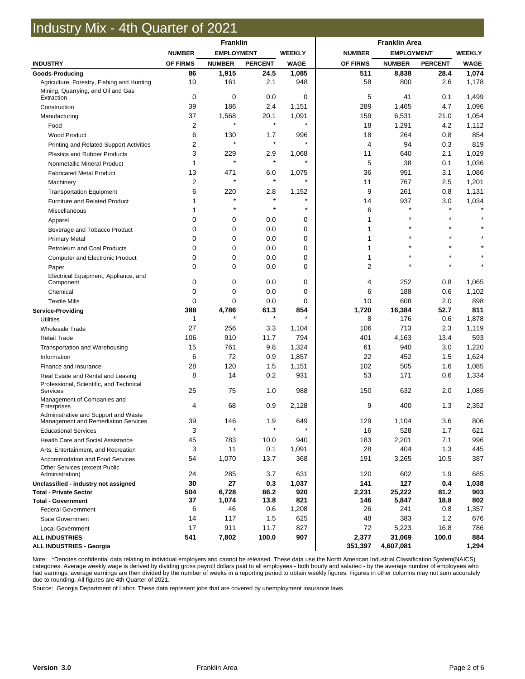## Industry Mix - 4th Quarter of 2021

|                                                                         | Franklin       |                |                                    |             |               |                   |                |               |  |  |
|-------------------------------------------------------------------------|----------------|----------------|------------------------------------|-------------|---------------|-------------------|----------------|---------------|--|--|
|                                                                         | <b>NUMBER</b>  |                | <b>EMPLOYMENT</b><br><b>WEEKLY</b> |             | <b>NUMBER</b> | <b>EMPLOYMENT</b> |                | <b>WEEKLY</b> |  |  |
| <b>INDUSTRY</b>                                                         | OF FIRMS       | <b>NUMBER</b>  | <b>PERCENT</b>                     | <b>WAGE</b> | OF FIRMS      | <b>NUMBER</b>     | <b>PERCENT</b> | <b>WAGE</b>   |  |  |
| Goods-Producing                                                         | 86             | 1,915          | 24.5                               | 1,085       | 511           | 8,838             | 28.4           | 1,074         |  |  |
| Agriculture, Forestry, Fishing and Hunting                              | 10             | 161            | 2.1                                | 948         | 58            | 800               | 2.6            | 1,178         |  |  |
| Mining, Quarrying, and Oil and Gas<br>Extraction                        | 0              | 0              | 0.0                                | 0           | 5             | 41                | 0.1            | 1,499         |  |  |
| Construction                                                            | 39             | 186            | 2.4                                | 1,151       | 289           | 1,465             | 4.7            | 1,096         |  |  |
| Manufacturing                                                           | 37             | 1,568          | 20.1                               | 1,091       | 159           | 6,531             | 21.0           | 1,054         |  |  |
| Food                                                                    | $\overline{2}$ |                | $\star$                            | $\star$     | 18            | 1,291             | 4.2            | 1,112         |  |  |
| <b>Wood Product</b>                                                     | 6              | 130            | 1.7                                | 996         | 18            | 264               | 0.8            | 854           |  |  |
| Printing and Related Support Activities                                 | 2              | $\star$        | $\star$                            | $\star$     | 4             | 94                | 0.3            | 819           |  |  |
| Plastics and Rubber Products                                            | 3              | 229            | 2.9                                | 1,068       | 11            | 640               | 2.1            | 1,029         |  |  |
| Nonmetallic Mineral Product                                             | 1              | $\star$        | $\star$                            | $\star$     | 5             | 38                | 0.1            | 1,036         |  |  |
| <b>Fabricated Metal Product</b>                                         | 13             | 471            | 6.0                                | 1,075       | 36            | 951               | 3.1            | 1,086         |  |  |
| Machinery                                                               | $\overline{2}$ |                | $\star$                            | $\star$     | 11            | 767               | 2.5            | 1,201         |  |  |
| <b>Transportation Equipment</b>                                         | 6              | 220            | 2.8                                | 1,152       | 9             | 261               | 0.8            | 1,131         |  |  |
| Furniture and Related Product                                           | 1              | $\star$        | $\star$                            | $\star$     | 14            | 937               | 3.0            | 1,034         |  |  |
| Miscellaneous                                                           | 1              |                | $\star$                            | $\star$     | 6             | $\star$           | $\star$        |               |  |  |
| Apparel                                                                 | $\Omega$       | 0              | 0.0                                | 0           | 1             |                   | $\star$        |               |  |  |
| Beverage and Tobacco Product                                            | $\mathbf 0$    | 0              | 0.0                                | 0           | 1             |                   |                |               |  |  |
| <b>Primary Metal</b>                                                    | $\Omega$       | 0              | 0.0                                | 0           | 1             |                   |                |               |  |  |
| Petroleum and Coal Products                                             | 0              | 0              | 0.0                                | 0           | 1             |                   |                |               |  |  |
| Computer and Electronic Product                                         | $\mathbf 0$    | 0              | 0.0                                | 0           | 1             |                   |                |               |  |  |
| Paper                                                                   | $\mathbf 0$    | 0              | 0.0                                | 0           | 2             |                   |                |               |  |  |
| Electrical Equipment, Appliance, and<br>Component                       | $\mathbf 0$    | 0              | 0.0                                | 0           | 4             | 252               | 0.8            | 1,065         |  |  |
| Chemical                                                                | $\mathbf 0$    | 0              | 0.0                                | 0           | 6             | 188               | 0.6            | 1,102         |  |  |
| <b>Textile Mills</b>                                                    | $\mathbf 0$    | 0              | 0.0                                | 0           | 10            | 608               | 2.0            | 898           |  |  |
| <b>Service-Providing</b>                                                | 388            | 4,786          | 61.3                               | 854         | 1,720         | 16,384            | 52.7           | 811           |  |  |
| <b>Utilities</b>                                                        | 1              |                | $\star$                            | $\star$     | 8             | 176               | 0.6            | 1,878         |  |  |
| <b>Wholesale Trade</b>                                                  | 27             | 256            | 3.3                                | 1,104       | 106           | 713               | 2.3            | 1,119         |  |  |
| <b>Retail Trade</b>                                                     | 106            | 910            | 11.7                               | 794         | 401           | 4,163             | 13.4           | 593           |  |  |
| Transportation and Warehousing                                          | 15             | 761            | 9.8                                | 1,324       | 61            | 940               | 3.0            | 1,220         |  |  |
| Information                                                             | 6              | 72             | 0.9                                | 1,857       | 22            | 452               | 1.5            | 1,624         |  |  |
| Finance and Insurance                                                   | 28             | 120            | 1.5                                | 1,151       | 102           | 505               | 1.6            | 1,085         |  |  |
| Real Estate and Rental and Leasing                                      | 8              | 14             | 0.2                                | 931         | 53            | 171               | 0.6            | 1,334         |  |  |
| Professional, Scientific, and Technical<br>Services                     | 25             | 75             | 1.0                                | 988         | 150           | 632               | 2.0            | 1,085         |  |  |
| Management of Companies and                                             |                |                |                                    |             |               |                   |                |               |  |  |
| Enterprises<br>Administrative and Support and Waste                     | 4              | 68             | 0.9                                | 2,128       | 9             | 400               | 1.3            | 2,352         |  |  |
| Management and Remediation Services                                     | 39             | 146            | 1.9<br>×                           | 649         | 129           | 1,104             | 3.6            | 806           |  |  |
| <b>Educational Services</b>                                             | 3              |                |                                    |             | 16            | 528               | 1.7            | 621           |  |  |
| Health Care and Social Assistance                                       | 45             | 783            | 10.0                               | 940         | 183           | 2,201             | 7.1            | 996           |  |  |
| Arts, Entertainment, and Recreation                                     | 3              | 11             | 0.1                                | 1,091       | 28            | 404               | 1.3            | 445           |  |  |
| Accommodation and Food Services<br><b>Other Services (except Public</b> | 54             | 1,070          | 13.7                               | 368         | 191           | 3,265             | 10.5           | 387           |  |  |
| Administration)                                                         | 24             | 285            | 3.7                                | 631         | 120           | 602               | 1.9            | 685           |  |  |
| Unclassified - industry not assigned                                    | 30             | 27             | 0.3                                | 1,037       | 141           | 127               | 0.4            | 1,038         |  |  |
| <b>Total - Private Sector</b><br><b>Total - Government</b>              | 504<br>37      | 6,728<br>1,074 | 86.2<br>13.8                       | 920<br>821  | 2,231<br>146  | 25,222<br>5,847   | 81.2<br>18.8   | 903<br>802    |  |  |
| <b>Federal Government</b>                                               | 6              | 46             | 0.6                                | 1,208       | 26            | 241               | 0.8            | 1,357         |  |  |
| <b>State Government</b>                                                 | 14             | 117            | 1.5                                | 625         | 48            | 383               | 1.2            | 676           |  |  |
| Local Government                                                        | 17             | 911            | 11.7                               | 827         | 72            | 5,223             | 16.8           | 786           |  |  |
| <b>ALL INDUSTRIES</b>                                                   | 541            | 7,802          | 100.0                              | 907         | 2,377         | 31,069            | 100.0          | 884           |  |  |
| <b>ALL INDUSTRIES - Georgia</b>                                         |                |                |                                    |             | 351,397       | 4,607,081         |                | 1,294         |  |  |

Note: \*Denotes confidential data relating to individual employers and cannot be released. These data use the North American Industrial Classification System(NAICS)<br>had earnings; average weekly wage is derived by dividing

Source: Georgia Department of Labor. These data represent jobs that are covered by unemployment insurance laws.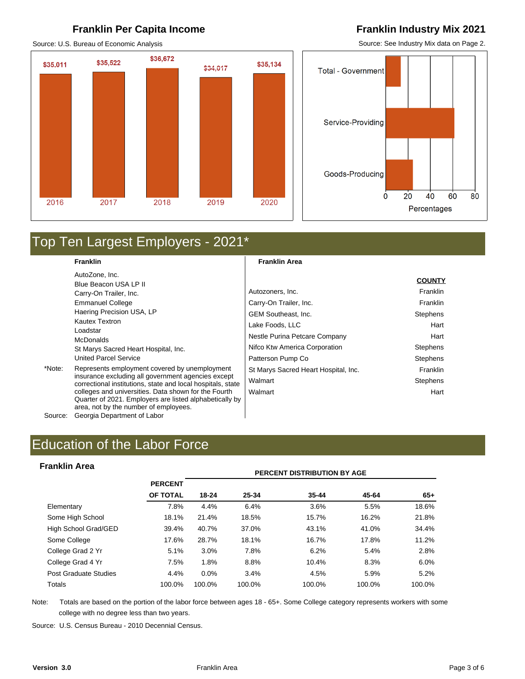#### **Franklin Per Capita Income Franklin Industry Mix 2021**

Source: U.S. Bureau of Economic Analysis

## \$36,672 \$35,522 \$35,011 \$35,134 \$34,017 2016 2017 2019 2020 2018

Source: See Industry Mix data on Page 2.



## Top Ten Largest Employers - 2021\*

**Franklin**  AutoZone, Inc. Blue Beacon USA LP II Carry-On Trailer, Inc. Emmanuel College Haering Precision USA, LP Kautex Textron Loadstar McDonalds St Marys Sacred Heart Hospital, Inc. United Parcel Service

\*Note: Represents employment covered by unemployment insurance excluding all government agencies except correctional institutions, state and local hospitals, state colleges and universities. Data shown for the Fourth Quarter of 2021. Employers are listed alphabetically by area, not by the number of employees. Source: Georgia Department of Labor

**Franklin Area** 

|                                      | <b>COUNTY</b>   |
|--------------------------------------|-----------------|
| Autozoners, Inc.                     | Franklin        |
| Carry-On Trailer, Inc.               | Franklin        |
| <b>GEM Southeast. Inc.</b>           | <b>Stephens</b> |
| Lake Foods, LLC                      | Hart            |
| Nestle Purina Petcare Company        | Hart            |
| Nifco Ktw America Corporation        | <b>Stephens</b> |
| Patterson Pump Co                    | <b>Stephens</b> |
| St Marys Sacred Heart Hospital, Inc. | Franklin        |
| Walmart                              | <b>Stephens</b> |
| Walmart                              | Hart            |
|                                      |                 |

#### **Franklin Area**

| <b>Franklin Area</b>  |                |         |        | <b>PERCENT DISTRIBUTION BY AGE</b> |        |        |
|-----------------------|----------------|---------|--------|------------------------------------|--------|--------|
|                       | <b>PERCENT</b> |         |        |                                    |        |        |
|                       | OF TOTAL       | 18-24   | 25-34  | $35 - 44$                          | 45-64  | $65+$  |
| Elementary            | 7.8%           | 4.4%    | 6.4%   | 3.6%                               | 5.5%   | 18.6%  |
| Some High School      | 18.1%          | 21.4%   | 18.5%  | 15.7%                              | 16.2%  | 21.8%  |
| High School Grad/GED  | 39.4%          | 40.7%   | 37.0%  | 43.1%                              | 41.0%  | 34.4%  |
| Some College          | 17.6%          | 28.7%   | 18.1%  | 16.7%                              | 17.8%  | 11.2%  |
| College Grad 2 Yr     | 5.1%           | 3.0%    | 7.8%   | 6.2%                               | 5.4%   | 2.8%   |
| College Grad 4 Yr     | 7.5%           | 1.8%    | 8.8%   | 10.4%                              | 8.3%   | 6.0%   |
| Post Graduate Studies | 4.4%           | $0.0\%$ | 3.4%   | 4.5%                               | 5.9%   | 5.2%   |
| Totals                | 100.0%         | 100.0%  | 100.0% | 100.0%                             | 100.0% | 100.0% |

Note: Totals are based on the portion of the labor force between ages 18 - 65+. Some College category represents workers with some college with no degree less than two years.

Source: U.S. Census Bureau - 2010 Decennial Census.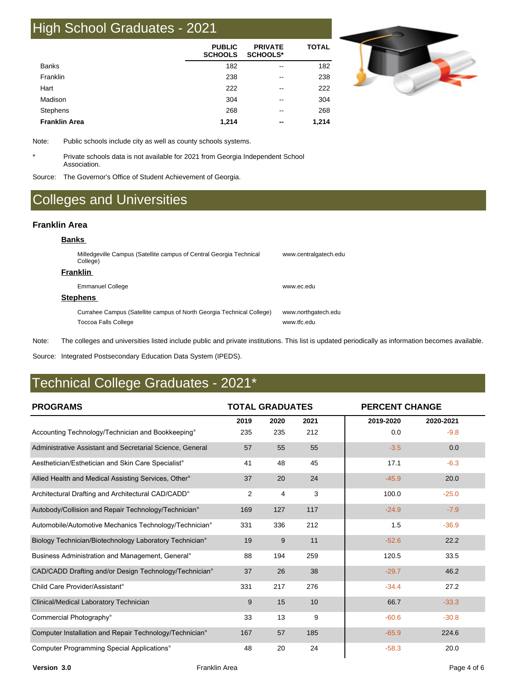## High School Graduates - 2021

|                      | <b>PUBLIC</b><br><b>SCHOOLS</b> | <b>PRIVATE</b><br><b>SCHOOLS*</b> | <b>TOTAL</b> |
|----------------------|---------------------------------|-----------------------------------|--------------|
| <b>Banks</b>         | 182                             | $\overline{\phantom{m}}$          | 182          |
| Franklin             | 238                             | $\overline{\phantom{m}}$          | 238          |
| Hart                 | 222                             | $\overline{\phantom{m}}$          | 222          |
| Madison              | 304                             | --                                | 304          |
| <b>Stephens</b>      | 268                             | --                                | 268          |
| <b>Franklin Area</b> | 1,214                           | $- -$                             | 1,214        |



Note: Public schools include city as well as county schools systems.

\* Private schools data is not available for 2021 from Georgia Independent School Association.

Source: The Governor's Office of Student Achievement of Georgia.

## Colleges and Universities

#### **Franklin Area**

| <b>Banks</b>                                                                                  |                                    |
|-----------------------------------------------------------------------------------------------|------------------------------------|
| Milledgeville Campus (Satellite campus of Central Georgia Technical<br>College)               | www.centralgatech.edu              |
| <b>Franklin</b>                                                                               |                                    |
| <b>Emmanuel College</b>                                                                       | www.ec.edu                         |
| <b>Stephens</b>                                                                               |                                    |
| Currahee Campus (Satellite campus of North Georgia Technical College)<br>Toccoa Falls College | www.northgatech.edu<br>www ffc edu |

Note: The colleges and universities listed include public and private institutions. This list is updated periodically as information becomes available.

Source: Integrated Postsecondary Education Data System (IPEDS).

## Technical College Graduates - 2021\*

| <b>PROGRAMS</b>                                                  | <b>TOTAL GRADUATES</b> |      |      |           | <b>PERCENT CHANGE</b> |  |  |
|------------------------------------------------------------------|------------------------|------|------|-----------|-----------------------|--|--|
|                                                                  | 2019                   | 2020 | 2021 | 2019-2020 | 2020-2021             |  |  |
| Accounting Technology/Technician and Bookkeeping°                | 235                    | 235  | 212  | 0.0       | $-9.8$                |  |  |
| Administrative Assistant and Secretarial Science, General        | 57                     | 55   | 55   | $-3.5$    | 0.0                   |  |  |
| Aesthetician/Esthetician and Skin Care Specialist°               | 41                     | 48   | 45   | 17.1      | $-6.3$                |  |  |
| Allied Health and Medical Assisting Services, Other <sup>o</sup> | 37                     | 20   | 24   | $-45.9$   | 20.0                  |  |  |
| Architectural Drafting and Architectural CAD/CADD°               | 2                      | 4    | 3    | 100.0     | $-25.0$               |  |  |
| Autobody/Collision and Repair Technology/Technician°             | 169                    | 127  | 117  | $-24.9$   | $-7.9$                |  |  |
| Automobile/Automotive Mechanics Technology/Technician°           | 331                    | 336  | 212  | 1.5       | $-36.9$               |  |  |
| Biology Technician/Biotechnology Laboratory Technician°          | 19                     | 9    | 11   | $-52.6$   | 22.2                  |  |  |
| Business Administration and Management, General <sup>®</sup>     | 88                     | 194  | 259  | 120.5     | 33.5                  |  |  |
| CAD/CADD Drafting and/or Design Technology/Technician°           | 37                     | 26   | 38   | $-29.7$   | 46.2                  |  |  |
| Child Care Provider/Assistant <sup>o</sup>                       | 331                    | 217  | 276  | $-34.4$   | 27.2                  |  |  |
| Clinical/Medical Laboratory Technician                           | 9                      | 15   | 10   | 66.7      | $-33.3$               |  |  |
| Commercial Photography°                                          | 33                     | 13   | 9    | $-60.6$   | $-30.8$               |  |  |
| Computer Installation and Repair Technology/Technician°          | 167                    | 57   | 185  | $-65.9$   | 224.6                 |  |  |
| Computer Programming Special Applications°                       | 48                     | 20   | 24   | $-58.3$   | 20.0                  |  |  |

**Version 3.0** Page 4 of 6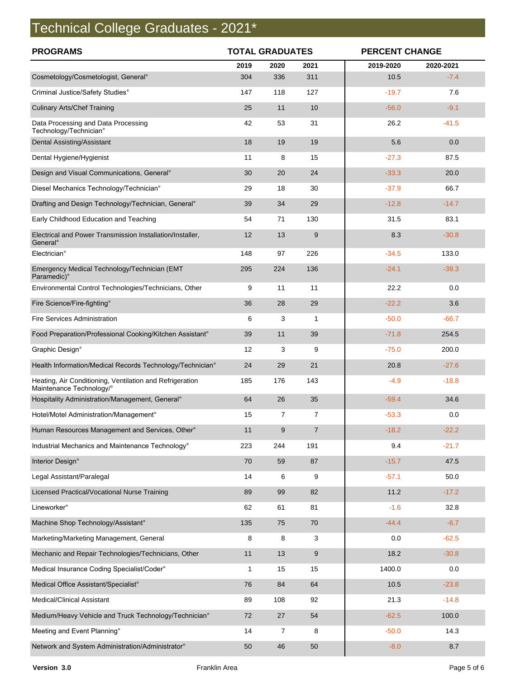# Technical College Graduates - 2021\*

| <b>PROGRAMS</b>                                                                      | <b>TOTAL GRADUATES</b> |                  |                | <b>PERCENT CHANGE</b> |           |  |
|--------------------------------------------------------------------------------------|------------------------|------------------|----------------|-----------------------|-----------|--|
|                                                                                      | 2019                   | 2020             | 2021           | 2019-2020             | 2020-2021 |  |
| Cosmetology/Cosmetologist, General°                                                  | 304                    | 336              | 311            | 10.5                  | $-7.4$    |  |
| Criminal Justice/Safety Studies°                                                     | 147                    | 118              | 127            | $-19.7$               | 7.6       |  |
| <b>Culinary Arts/Chef Training</b>                                                   | 25                     | 11               | 10             | $-56.0$               | $-9.1$    |  |
| Data Processing and Data Processing<br>Technology/Technician°                        | 42                     | 53               | 31             | 26.2                  | $-41.5$   |  |
| Dental Assisting/Assistant                                                           | 18                     | 19               | 19             | 5.6                   | 0.0       |  |
| Dental Hygiene/Hygienist                                                             | 11                     | 8                | 15             | $-27.3$               | 87.5      |  |
| Design and Visual Communications, General°                                           | 30                     | 20               | 24             | $-33.3$               | 20.0      |  |
| Diesel Mechanics Technology/Technician°                                              | 29                     | 18               | 30             | $-37.9$               | 66.7      |  |
| Drafting and Design Technology/Technician, General°                                  | 39                     | 34               | 29             | $-12.8$               | $-14.7$   |  |
| Early Childhood Education and Teaching                                               | 54                     | 71               | 130            | 31.5                  | 83.1      |  |
| Electrical and Power Transmission Installation/Installer,<br>General <sup>o</sup>    | 12                     | 13               | 9              | 8.3                   | $-30.8$   |  |
| Electrician°                                                                         | 148                    | 97               | 226            | $-34.5$               | 133.0     |  |
| Emergency Medical Technology/Technician (EMT<br>Paramedic)°                          | 295                    | 224              | 136            | $-24.1$               | $-39.3$   |  |
| Environmental Control Technologies/Technicians, Other                                | 9                      | 11               | 11             | 22.2                  | 0.0       |  |
| Fire Science/Fire-fighting°                                                          | 36                     | 28               | 29             | $-22.2$               | 3.6       |  |
| <b>Fire Services Administration</b>                                                  | 6                      | 3                | $\mathbf{1}$   | $-50.0$               | $-66.7$   |  |
| Food Preparation/Professional Cooking/Kitchen Assistant°                             | 39                     | 11               | 39             | $-71.8$               | 254.5     |  |
| Graphic Design°                                                                      | 12                     | 3                | 9              | $-75.0$               | 200.0     |  |
| Health Information/Medical Records Technology/Technician°                            | 24                     | 29               | 21             | 20.8                  | $-27.6$   |  |
| Heating, Air Conditioning, Ventilation and Refrigeration<br>Maintenance Technology/° | 185                    | 176              | 143            | $-4.9$                | $-18.8$   |  |
| Hospitality Administration/Management, General®                                      | 64                     | 26               | 35             | $-59.4$               | 34.6      |  |
| Hotel/Motel Administration/Management°                                               | 15                     | 7                | 7              | $-53.3$               | 0.0       |  |
| Human Resources Management and Services, Other°                                      | $11$                   | $\boldsymbol{9}$ | $\overline{7}$ | $-18.2$               | $-22.2$   |  |
| Industrial Mechanics and Maintenance Technology°                                     | 223                    | 244              | 191            | 9.4                   | $-21.7$   |  |
| Interior Design°                                                                     | 70                     | 59               | 87             | $-15.7$               | 47.5      |  |
| Legal Assistant/Paralegal                                                            | 14                     | 6                | 9              | $-57.1$               | 50.0      |  |
| Licensed Practical/Vocational Nurse Training                                         | 89                     | 99               | 82             | 11.2                  | $-17.2$   |  |
| Lineworker <sup>o</sup>                                                              | 62                     | 61               | 81             | $-1.6$                | 32.8      |  |
| Machine Shop Technology/Assistant°                                                   | 135                    | 75               | 70             | $-44.4$               | $-6.7$    |  |
| Marketing/Marketing Management, General                                              | 8                      | 8                | 3              | 0.0                   | $-62.5$   |  |
| Mechanic and Repair Technologies/Technicians, Other                                  | 11                     | 13               | $9\,$          | 18.2                  | $-30.8$   |  |
| Medical Insurance Coding Specialist/Coder°                                           | 1                      | 15               | 15             | 1400.0                | 0.0       |  |
| Medical Office Assistant/Specialist°                                                 | 76                     | 84               | 64             | 10.5                  | $-23.8$   |  |
| <b>Medical/Clinical Assistant</b>                                                    | 89                     | 108              | 92             | 21.3                  | $-14.8$   |  |
| Medium/Heavy Vehicle and Truck Technology/Technician°                                | 72                     | 27               | 54             | $-62.5$               | 100.0     |  |
| Meeting and Event Planning°                                                          | 14                     | 7                | 8              | $-50.0$               | 14.3      |  |
| Network and System Administration/Administrator°                                     | 50                     | 46               | 50             | $-8.0$                | 8.7       |  |